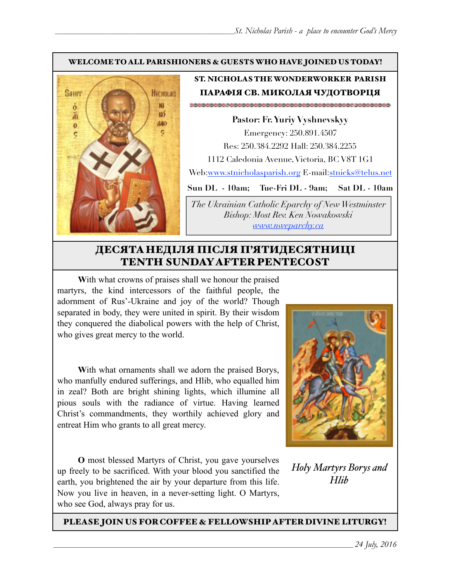#### WELCOME TO ALL PARISHIONERS & GUESTS WHO HAVE JOINED US TODAY!



#### ST. NICHOLAS THE WONDERWORKER PARISH ПАРАФІЯ СВ. МИКОЛАЯ ЧУДОТВОРЦЯ

**Pastor: Fr. Yuriy Vyshnevskyy** Emergency: 250.891.4507 Res: 250.384.2292 Hall: 250.384.2255 1112 Caledonia Avenue, Victoria, BC V8T 1G1 Web:[www.stnicholasparish.org](http://www.stnicholasparish.org) E-mail[:stnicks@telus.net](mailto:stnicks@telus.net)

**Sun DL - 10am; Tue-Fri DL - 9am; Sat DL - 10am**

*The Ukrainian Catholic Eparchy of New Westminster Bishop: Most Rev. Ken Nowakowski [www.nweparchy.ca](http://www.nweparchy.ca)*

# ДЕСЯТАНЕДІЛЯ ПІСЛЯ П'ЯТИДЕСЯТНИЦІ TENTH SUNDAY AFTER PENTECOST

**W**ith what crowns of praises shall we honour the praised martyrs, the kind intercessors of the faithful people, the adornment of Rus'-Ukraine and joy of the world? Though separated in body, they were united in spirit. By their wisdom they conquered the diabolical powers with the help of Christ, who gives great mercy to the world.

With what ornaments shall we adorn the praised Borys, who manfully endured sufferings, and Hlib, who equalled him in zeal? Both are bright shining lights, which illumine all pious souls with the radiance of virtue. Having learned Christ's commandments, they worthily achieved glory and entreat Him who grants to all great mercy.

**O** most blessed Martyrs of Christ, you gave yourselves up freely to be sacrificed. With your blood you sanctified the earth, you brightened the air by your departure from this life. Now you live in heaven, in a never-setting light. O Martyrs, who see God, always pray for us.



*Holy Martyrs Borys and Hlib*

PLEASE JOIN US FOR COFFEE & FELLOWSHIP AFTER DIVINE LITURGY!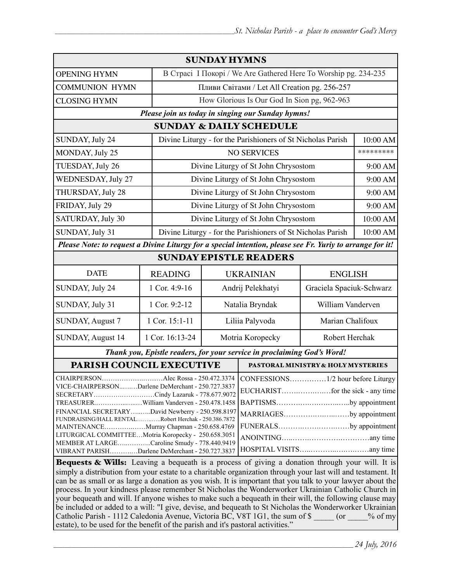| <b>SUNDAY HYMNS</b>                                                                                                                                                                                                                                                                                                                                                                                                                                                                                                                                                      |                 |                                                                 |                                                             |                                                                                                         |           |  |
|--------------------------------------------------------------------------------------------------------------------------------------------------------------------------------------------------------------------------------------------------------------------------------------------------------------------------------------------------------------------------------------------------------------------------------------------------------------------------------------------------------------------------------------------------------------------------|-----------------|-----------------------------------------------------------------|-------------------------------------------------------------|---------------------------------------------------------------------------------------------------------|-----------|--|
| <b>OPENING HYMN</b>                                                                                                                                                                                                                                                                                                                                                                                                                                                                                                                                                      |                 | В Страсі I Покорі / We Are Gathered Here To Worship pg. 234-235 |                                                             |                                                                                                         |           |  |
| <b>COMMUNION HYMN</b>                                                                                                                                                                                                                                                                                                                                                                                                                                                                                                                                                    |                 | Пливи Світами / Let All Creation pg. 256-257                    |                                                             |                                                                                                         |           |  |
| <b>CLOSING HYMN</b>                                                                                                                                                                                                                                                                                                                                                                                                                                                                                                                                                      |                 |                                                                 | How Glorious Is Our God In Sion pg, 962-963                 |                                                                                                         |           |  |
| Please join us today in singing our Sunday hymns!                                                                                                                                                                                                                                                                                                                                                                                                                                                                                                                        |                 |                                                                 |                                                             |                                                                                                         |           |  |
| <b>SUNDAY &amp; DAILY SCHEDULE</b>                                                                                                                                                                                                                                                                                                                                                                                                                                                                                                                                       |                 |                                                                 |                                                             |                                                                                                         |           |  |
| SUNDAY, July 24                                                                                                                                                                                                                                                                                                                                                                                                                                                                                                                                                          |                 |                                                                 | Divine Liturgy - for the Parishioners of St Nicholas Parish |                                                                                                         | 10:00 AM  |  |
| MONDAY, July 25                                                                                                                                                                                                                                                                                                                                                                                                                                                                                                                                                          |                 |                                                                 | <b>NO SERVICES</b>                                          |                                                                                                         | ********* |  |
| TUESDAY, July 26                                                                                                                                                                                                                                                                                                                                                                                                                                                                                                                                                         |                 |                                                                 | Divine Liturgy of St John Chrysostom                        |                                                                                                         | 9:00 AM   |  |
| WEDNESDAY, July 27                                                                                                                                                                                                                                                                                                                                                                                                                                                                                                                                                       |                 |                                                                 | Divine Liturgy of St John Chrysostom                        |                                                                                                         | 9:00 AM   |  |
| THURSDAY, July 28                                                                                                                                                                                                                                                                                                                                                                                                                                                                                                                                                        |                 |                                                                 | Divine Liturgy of St John Chrysostom                        |                                                                                                         | 9:00 AM   |  |
| FRIDAY, July 29                                                                                                                                                                                                                                                                                                                                                                                                                                                                                                                                                          |                 | Divine Liturgy of St John Chrysostom                            |                                                             |                                                                                                         | 9:00 AM   |  |
| SATURDAY, July 30                                                                                                                                                                                                                                                                                                                                                                                                                                                                                                                                                        |                 |                                                                 | Divine Liturgy of St John Chrysostom                        |                                                                                                         | 10:00 AM  |  |
| SUNDAY, July 31<br>Divine Liturgy - for the Parishioners of St Nicholas Parish                                                                                                                                                                                                                                                                                                                                                                                                                                                                                           |                 |                                                                 |                                                             | 10:00 AM                                                                                                |           |  |
| Please Note: to request a Divine Liturgy for a special intention, please see Fr. Yuriy to arrange for it!                                                                                                                                                                                                                                                                                                                                                                                                                                                                |                 |                                                                 |                                                             |                                                                                                         |           |  |
| <b>SUNDAY EPISTLE READERS</b>                                                                                                                                                                                                                                                                                                                                                                                                                                                                                                                                            |                 |                                                                 |                                                             |                                                                                                         |           |  |
| <b>DATE</b>                                                                                                                                                                                                                                                                                                                                                                                                                                                                                                                                                              | <b>READING</b>  |                                                                 | <b>UKRAINIAN</b>                                            | <b>ENGLISH</b>                                                                                          |           |  |
| SUNDAY, July 24                                                                                                                                                                                                                                                                                                                                                                                                                                                                                                                                                          | 1 Cor. 4:9-16   | Andrij Pelekhatyi                                               |                                                             | Graciela Spaciuk-Schwarz                                                                                |           |  |
| SUNDAY, July 31                                                                                                                                                                                                                                                                                                                                                                                                                                                                                                                                                          | 1 Cor. 9:2-12   | Natalia Bryndak                                                 |                                                             | William Vanderven                                                                                       |           |  |
| <b>SUNDAY, August 7</b>                                                                                                                                                                                                                                                                                                                                                                                                                                                                                                                                                  | 1 Cor. 15:1-11  | Liliia Palyvoda                                                 |                                                             | Marian Chalifoux                                                                                        |           |  |
| SUNDAY, August 14                                                                                                                                                                                                                                                                                                                                                                                                                                                                                                                                                        | 1 Cor. 16:13-24 | Motria Koropecky                                                |                                                             | Robert Herchak                                                                                          |           |  |
| Thank you, Epistle readers, for your service in proclaiming God's Word!                                                                                                                                                                                                                                                                                                                                                                                                                                                                                                  |                 |                                                                 |                                                             |                                                                                                         |           |  |
| PARISH COUNCIL EXECUTIVE                                                                                                                                                                                                                                                                                                                                                                                                                                                                                                                                                 |                 |                                                                 | PASTORAL MINISTRY & HOLY MYSTERIES                          |                                                                                                         |           |  |
| VICE-CHAIRPERSONDarlene DeMerchant - 250.727.3837<br>SECRETARYCindy Lazaruk - 778.677.9072<br>TREASURERWilliam Vanderven - 250.478.1458<br>FINANCIAL SECRETARY David Newberry - 250.598.8197<br>FUNDRAISING/HALL RENTALRobert Herchak - 250.386.7872<br>MAINTENANCEMurray Chapman - 250.658.4769<br>LITURGICAL COMMITTEEMotria Koropecky - 250.658.3051<br>MEMBER AT LARGECaroline Smudy - 778.440.9419<br>VIBRANT PARISHDarlene DeMerchant - 250.727.3837<br><b>Bequests &amp; Wills:</b> Leaving a bequeath is a process of giving a donation through your will. It is |                 |                                                                 |                                                             | .1/2 hour before Liturgy<br>BAPTISMSby appointment<br>MARRIAGESby appointment<br>FUNERALSby appointment |           |  |
| simply a distribution from your estate to a charitable organization through your last will and testament. It<br>on he as small or as large a donation as you wish. It is important that you talk to your lawyer about the                                                                                                                                                                                                                                                                                                                                                |                 |                                                                 |                                                             |                                                                                                         |           |  |

can be as small or as large a donation as you wish. It is important that you talk to your lawyer about the process. In your kindness please remember St Nicholas the Wonderworker Ukrainian Catholic Church in your bequeath and will. If anyone wishes to make such a bequeath in their will, the following clause may be included or added to a will: "I give, devise, and bequeath to St Nicholas the Wonderworker Ukrainian Catholic Parish - 1112 Caledonia Avenue, Victoria BC, V8T 1G1, the sum of \$ \_\_\_\_\_ (or \_\_\_\_% of my estate), to be used for the benefit of the parish and it's pastoral activities."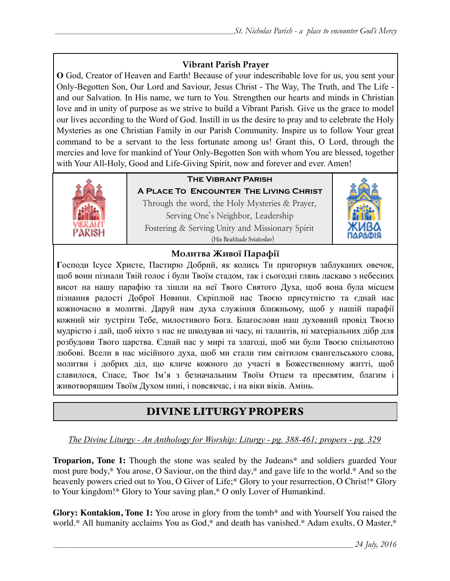#### **Vibrant Parish Prayer**

**O** God, Creator of Heaven and Earth! Because of your indescribable love for us, you sent your Only-Begotten Son, Our Lord and Saviour, Jesus Christ - The Way, The Truth, and The Life and our Salvation. In His name, we turn to You. Strengthen our hearts and minds in Christian love and in unity of purpose as we strive to build a Vibrant Parish. Give us the grace to model our lives according to the Word of God. Instill in us the desire to pray and to celebrate the Holy Mysteries as one Christian Family in our Parish Community. Inspire us to follow Your great command to be a servant to the less fortunate among us! Grant this, O Lord, through the mercies and love for mankind of Your Only-Begotten Son with whom You are blessed, together with Your All-Holy, Good and Life-Giving Spirit, now and forever and ever. Amen!



# **The Vibrant Parish**

**A Place To Encounter The Living Christ** Through the word, the Holy Mysteries & Prayer, Serving One's Neighbor, Leadership Fostering & Serving Unity and Missionary Spirit (His Beatitude Sviatoslav)



#### **Молитва Живої Парафії**

**Г**осподи Ісусе Христе, Пастирю Добрий, як колись Ти пригорнув заблуканих овечок, щоб вони пізнали Твій голос і були Твоїм стадом, так і сьогодні глянь ласкаво з небесних висот на нашу парафію та зішли на неї Твого Святого Духа, щоб вона була місцем пізнання радості Доброї Новини. Скріплюй нас Твоєю присутністю та єднай нас кожночасно в молитві. Даруй нам духа служіння ближньому, щоб у нашій парафії кожний міг зустріти Тебе, милостивого Бога. Благослови наш духовний провід Твоєю мудрістю і дай, щоб ніхто з нас не шкодував ні часу, ні талантів, ні матеріальних дібр для розбудови Твого царства. Єднай нас у мирі та злагоді, щоб ми були Твоєю спільнотою любові. Всели в нас місійного духа, щоб ми стали тим світилом євангельського слова, молитви і добрих діл, що кличе кожного до участі в Божественному житті, щоб славилося, Спасе, Твоє Ім'я з безначальним Твоїм Отцем та пресвятим, благим і животворящим Твоїм Духом нині, і повсякчас, і на віки віків. Амінь.

# DIVINE LITURGY PROPERS

#### *The Divine Liturgy - An Anthology for Worship: Liturgy - pg. 388-461; propers - pg. 329*

**Troparion, Tone 1:** Though the stone was sealed by the Judeans\* and soldiers guarded Your most pure body,\* You arose, O Saviour, on the third day,\* and gave life to the world.\* And so the heavenly powers cried out to You, O Giver of Life;\* Glory to your resurrection, O Christ!\* Glory to Your kingdom!\* Glory to Your saving plan,\* O only Lover of Humankind.

**Glory: Kontakion, Tone 1:** You arose in glory from the tomb\* and with Yourself You raised the world.\* All humanity acclaims You as God,\* and death has vanished.\* Adam exults, O Master,\*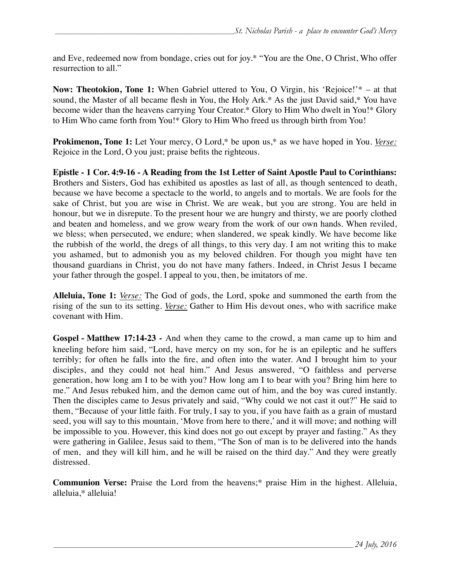and Eve, redeemed now from bondage, cries out for joy.\* "You are the One, O Christ, Who offer resurrection to all."

**Now: Theotokion, Tone 1:** When Gabriel uttered to You, O Virgin, his 'Rejoice!'\* – at that sound, the Master of all became flesh in You, the Holy Ark.\* As the just David said,\* You have become wider than the heavens carrying Your Creator.\* Glory to Him Who dwelt in You!\* Glory to Him Who came forth from You!\* Glory to Him Who freed us through birth from You!

**Prokimenon, Tone 1:** Let Your mercy, O Lord,\* be upon us,\* as we have hoped in You. *Verse:* Rejoice in the Lord, O you just; praise befits the righteous.

**Epistle - 1 Cor. 4:9-16 - A Reading from the 1st Letter of Saint Apostle Paul to Corinthians:**  Brothers and Sisters, God has exhibited us apostles as last of all, as though sentenced to death, because we have become a spectacle to the world, to angels and to mortals. We are fools for the sake of Christ, but you are wise in Christ. We are weak, but you are strong. You are held in honour, but we in disrepute. To the present hour we are hungry and thirsty, we are poorly clothed and beaten and homeless, and we grow weary from the work of our own hands. When reviled, we bless; when persecuted, we endure; when slandered, we speak kindly. We have become like the rubbish of the world, the dregs of all things, to this very day. I am not writing this to make you ashamed, but to admonish you as my beloved children. For though you might have ten thousand guardians in Christ, you do not have many fathers. Indeed, in Christ Jesus I became your father through the gospel. I appeal to you, then, be imitators of me.

**Alleluia, Tone 1:** *Verse:* The God of gods, the Lord, spoke and summoned the earth from the rising of the sun to its setting. *Verse:* Gather to Him His devout ones, who with sacrifice make covenant with Him.

**Gospel - Matthew 17:14-23 -** And when they came to the crowd, a man came up to him and kneeling before him said, "Lord, have mercy on my son, for he is an epileptic and he suffers terribly; for often he falls into the fire, and often into the water. And I brought him to your disciples, and they could not heal him." And Jesus answered, "O faithless and perverse generation, how long am I to be with you? How long am I to bear with you? Bring him here to me." And Jesus rebuked him, and the demon came out of him, and the boy was cured instantly. Then the disciples came to Jesus privately and said, "Why could we not cast it out?" He said to them, "Because of your little faith. For truly, I say to you, if you have faith as a grain of mustard seed, you will say to this mountain, 'Move from here to there,' and it will move; and nothing will be impossible to you. However, this kind does not go out except by prayer and fasting." As they were gathering in Galilee, Jesus said to them, "The Son of man is to be delivered into the hands of men, and they will kill him, and he will be raised on the third day." And they were greatly distressed.

**Communion Verse:** Praise the Lord from the heavens;\* praise Him in the highest. Alleluia, alleluia,\* alleluia!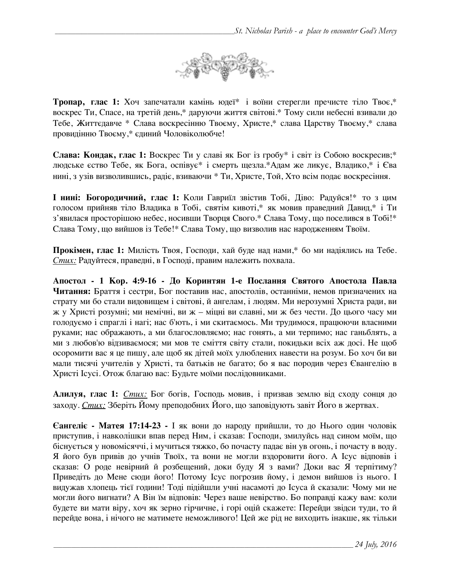

**Тропар, глас 1:** Хоч запечатали камінь юдеї\* і воїни стерегли пречисте тіло Твоє,\* воскрес Ти, Спасе, на третій день,\* даруючи життя світові.\* Тому сили небесні взивали до Тебе, Життєдавче \* Слава воскресінню Твоєму, Христе,\* слава Царству Твоєму,\* слава провидінню Твоєму,\* єдиний Чоловіколюбче!

**Слава: Кондак, глас 1:** Воскрес Ти у славі як Бог із гробу\* і світ із Собою воскресив;\* людське єство Тебе, як Бога, оспівує\* і смерть щезла.\*Адам же ликує, Владико,\* і Єва нині, з узів визволившись, радіє, взиваючи \* Ти, Христе, Той, Хто всім подає воскресіння.

**І нині: Богородичний, глас 1:** Коли Гавриїл звістив Тобі, Діво: Радуйся!\* то з цим голосом прийняв тіло Владика в Тобі, святім кивоті,\* як мовив праведний Давид,\* і Ти з'явилася просторішою небес, носивши Творця Свого.\* Слава Тому, що поселився в Тобі!\* Слава Тому, що вийшов із Тебе!\* Слава Тому, що визволив нас народженням Твоїм.

**Прокімен, глас 1:** Милість Твоя, Господи, хай буде над нами,\* бо ми надіялись на Тебе. *Стих:* Радуйтеся, праведні, в Господі, правим належить похвала.

**Апостол - 1 Кор. 4:9-16 - До Коринтян 1-e Послання Святого Апостола Павла Читання:** Браття і сестри, Бог поставив нас, апостолів, останніми, немов призначених на страту ми бо стали видовищем і світові, й ангелам, і людям. Ми нерозумні Христа ради, ви ж у Христі розумні; ми немічні, ви ж – міцні ви славні, ми ж без чести. До цього часу ми голодуємо і спраглі і нагі; нас б'ють, і ми скитаємось. Ми трудимося, працюючи власними руками; нас ображають, а ми благословляємо; нас гонять, а ми терпимо; нас ганьблять, а ми з любов'ю відзиваємося; ми мов те сміття світу стали, покидьки всіх аж досі. Не щоб осоромити вас я це пишу, але щоб як дітей моїх улюблених навести на розум. Бо хоч би ви мали тисячі учителів у Христі, та батьків не багато; бо я вас породив через Євангелію в Христі Ісусі. Отож благаю вас: Будьте моїми послідовниками.

**Алилуя, глас 1:** *Стих:* Бог богів, Господь мовив, і призвав землю від сходу сонця до заходу. *Стих:* Зберіть Йому преподобних Його, що заповідують завіт Його в жертвах.

**Єангеліє - Матея 17:14-23 -** І як вони до народу прийшли, то до Нього один чоловік приступив, і навколішки впав перед Ним, і сказав: Господи, змилуйсь над сином моїм, що біснується у новомісяччі, і мучиться тяжко, бо почасту падає він ув огонь, і почасту в воду. Я його був привів до учнів Твоїх, та вони не могли вздоровити його. А Ісус відповів і сказав: О роде невірний й розбещений, доки буду Я з вами? Доки вас Я терпітиму? Приведіть до Мене сюди його! Потому Ісус погрозив йому, і демон вийшов із нього. І видужав хлопець тієї години! Тоді підійшли учні насамоті до Ісуса й сказали: Чому ми не могли його вигнати? А Він їм відповів: Через ваше невірство. Бо поправді кажу вам: коли будете ви мати віру, хоч як зерно гірчичне, і горі оцій скажете: Перейди звідси туди, то й перейде вона, і нічого не матимете неможливого! Цей же рід не виходить інакше, як тільки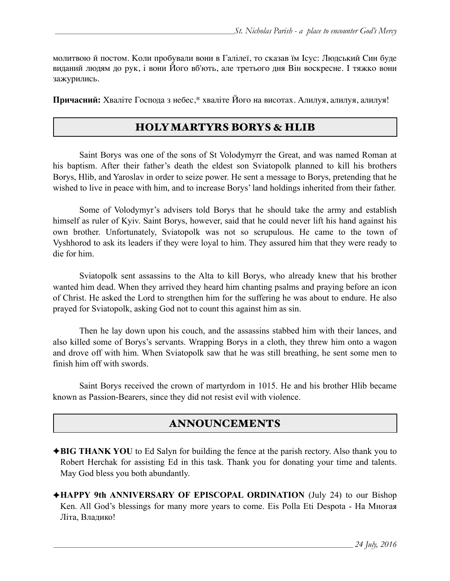молитвою й постом. Коли пробували вони в Галілеї, то сказав їм Ісус: Людський Син буде виданий людям до рук, і вони Його вб'ють, але третього дня Він воскресне. І тяжко вони зажурились.

**Причасний:** Хваліте Господа з небес,\* хваліте Його на висотах. Алилуя, алилуя, алилуя!

### HOLY MARTYRS BORYS & HLIB

 Saint Borys was one of the sons of St Volodymyrr the Great, and was named Roman at his baptism. After their father's death the eldest son Sviatopolk planned to kill his brothers Borys, Hlib, and Yaroslav in order to seize power. He sent a message to Borys, pretending that he wished to live in peace with him, and to increase Borys' land holdings inherited from their father.

 Some of Volodymyr's advisers told Borys that he should take the army and establish himself as ruler of Kyiv. Saint Borys, however, said that he could never lift his hand against his own brother. Unfortunately, Sviatopolk was not so scrupulous. He came to the town of Vyshhorod to ask its leaders if they were loyal to him. They assured him that they were ready to die for him.

 Sviatopolk sent assassins to the Alta to kill Borys, who already knew that his brother wanted him dead. When they arrived they heard him chanting psalms and praying before an icon of Christ. He asked the Lord to strengthen him for the suffering he was about to endure. He also prayed for Sviatopolk, asking God not to count this against him as sin.

 Then he lay down upon his couch, and the assassins stabbed him with their lances, and also killed some of Borys's servants. Wrapping Borys in a cloth, they threw him onto a wagon and drove off with him. When Sviatopolk saw that he was still breathing, he sent some men to finish him off with swords.

 Saint Borys received the crown of martyrdom in 1015. He and his brother Hlib became known as Passion-Bearers, since they did not resist evil with violence.

# ANNOUNCEMENTS

- ✦**BIG THANK YOU** to Ed Salyn for building the fence at the parish rectory. Also thank you to Robert Herchak for assisting Ed in this task. Thank you for donating your time and talents. May God bless you both abundantly.
- ✦**HAPPY 9th ANNIVERSARY OF EPISCOPAL ORDINATION** (July 24) to our Bishop Ken. All God's blessings for many more years to come. Eis Polla Eti Despota - На Многая Літа, Владико!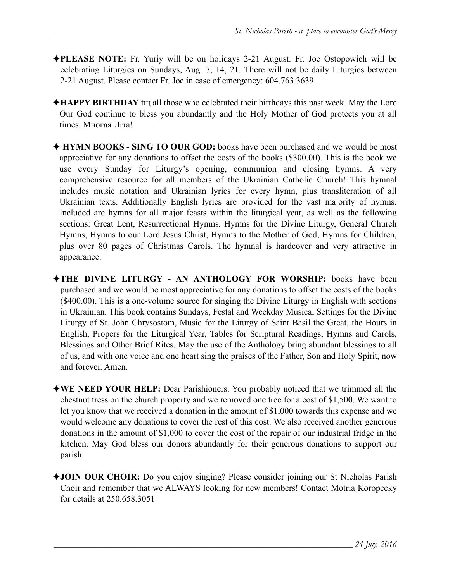- ✦**PLEASE NOTE:** Fr. Yuriy will be on holidays 2-21 August. Fr. Joe Ostopowich will be celebrating Liturgies on Sundays, Aug. 7, 14, 21. There will not be daily Liturgies between 2-21 August. Please contact Fr. Joe in case of emergency: 604.763.3639
- ✦**HAPPY BIRTHDAY** tщ all those who celebrated their birthdays this past week. May the Lord Our God continue to bless you abundantly and the Holy Mother of God protects you at all times. Многая Літа!
- ✦ **HYMN BOOKS SING TO OUR GOD:** books have been purchased and we would be most appreciative for any donations to offset the costs of the books (\$300.00). This is the book we use every Sunday for Liturgy's opening, communion and closing hymns. A very comprehensive resource for all members of the Ukrainian Catholic Church! This hymnal includes music notation and Ukrainian lyrics for every hymn, plus transliteration of all Ukrainian texts. Additionally English lyrics are provided for the vast majority of hymns. Included are hymns for all major feasts within the liturgical year, as well as the following sections: Great Lent, Resurrectional Hymns, Hymns for the Divine Liturgy, General Church Hymns, Hymns to our Lord Jesus Christ, Hymns to the Mother of God, Hymns for Children, plus over 80 pages of Christmas Carols. The hymnal is hardcover and very attractive in appearance.
- ✦**THE DIVINE LITURGY AN ANTHOLOGY FOR WORSHIP:** books have been purchased and we would be most appreciative for any donations to offset the costs of the books (\$400.00). This is a one-volume source for singing the Divine Liturgy in English with sections in Ukrainian. This book contains Sundays, Festal and Weekday Musical Settings for the Divine Liturgy of St. John Chrysostom, Music for the Liturgy of Saint Basil the Great, the Hours in English, Propers for the Liturgical Year, Tables for Scriptural Readings, Hymns and Carols, Blessings and Other Brief Rites. May the use of the Anthology bring abundant blessings to all of us, and with one voice and one heart sing the praises of the Father, Son and Holy Spirit, now and forever. Amen.
- ✦**WE NEED YOUR HELP:** Dear Parishioners. You probably noticed that we trimmed all the chestnut tress on the church property and we removed one tree for a cost of \$1,500. We want to let you know that we received a donation in the amount of \$1,000 towards this expense and we would welcome any donations to cover the rest of this cost. We also received another generous donations in the amount of \$1,000 to cover the cost of the repair of our industrial fridge in the kitchen. May God bless our donors abundantly for their generous donations to support our parish.
- ✦**JOIN OUR CHOIR:** Do you enjoy singing? Please consider joining our St Nicholas Parish Choir and remember that we ALWAYS looking for new members! Contact Motria Koropecky for details at 250.658.3051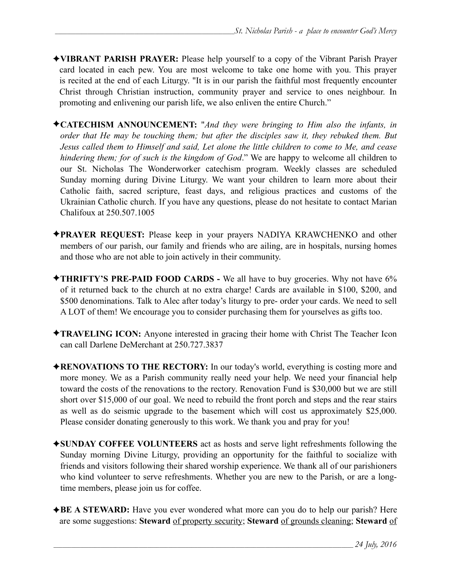- ✦**VIBRANT PARISH PRAYER:** Please help yourself to a copy of the Vibrant Parish Prayer card located in each pew. You are most welcome to take one home with you. This prayer is recited at the end of each Liturgy. "It is in our parish the faithful most frequently encounter Christ through Christian instruction, community prayer and service to ones neighbour. In promoting and enlivening our parish life, we also enliven the entire Church."
- ✦**CATECHISM ANNOUNCEMENT:** "*And they were bringing to Him also the infants, in order that He may be touching them; but after the disciples saw it, they rebuked them. But Jesus called them to Himself and said, Let alone the little children to come to Me, and cease hindering them; for of such is the kingdom of God*." We are happy to welcome all children to our St. Nicholas The Wonderworker catechism program. Weekly classes are scheduled Sunday morning during Divine Liturgy. We want your children to learn more about their Catholic faith, sacred scripture, feast days, and religious practices and customs of the Ukrainian Catholic church. If you have any questions, please do not hesitate to contact Marian Chalifoux at 250.507.1005
- ✦**PRAYER REQUEST:** Please keep in your prayers NADIYA KRAWCHENKO and other members of our parish, our family and friends who are ailing, are in hospitals, nursing homes and those who are not able to join actively in their community.
- ✦**THRIFTY'S PRE-PAID FOOD CARDS** We all have to buy groceries. Why not have 6% of it returned back to the church at no extra charge! Cards are available in \$100, \$200, and \$500 denominations. Talk to Alec after today's liturgy to pre- order your cards. We need to sell A LOT of them! We encourage you to consider purchasing them for yourselves as gifts too.
- ✦**TRAVELING ICON:** Anyone interested in gracing their home with Christ The Teacher Icon can call Darlene DeMerchant at 250.727.3837
- ✦**RENOVATIONS TO THE RECTORY:** In our today's world, everything is costing more and more money. We as a Parish community really need your help. We need your financial help toward the costs of the renovations to the rectory. Renovation Fund is \$30,000 but we are still short over \$15,000 of our goal. We need to rebuild the front porch and steps and the rear stairs as well as do seismic upgrade to the basement which will cost us approximately \$25,000. Please consider donating generously to this work. We thank you and pray for you!
- ✦**SUNDAY COFFEE VOLUNTEERS** act as hosts and serve light refreshments following the Sunday morning Divine Liturgy, providing an opportunity for the faithful to socialize with friends and visitors following their shared worship experience. We thank all of our parishioners who kind volunteer to serve refreshments. Whether you are new to the Parish, or are a longtime members, please join us for coffee.
- ✦**BE A STEWARD:** Have you ever wondered what more can you do to help our parish? Here are some suggestions: **Steward** of property security; **Steward** of grounds cleaning; **Steward** of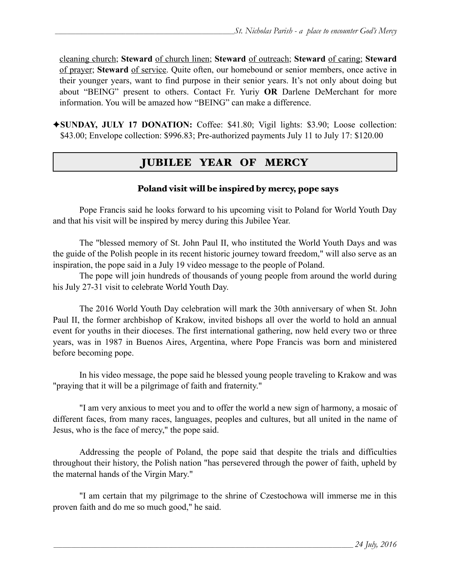cleaning church; **Steward** of church linen; **Steward** of outreach; **Steward** of caring; **Steward** of prayer; **Steward** of service. Quite often, our homebound or senior members, once active in their younger years, want to find purpose in their senior years. It's not only about doing but about "BEING" present to others. Contact Fr. Yuriy **OR** Darlene DeMerchant for more information. You will be amazed how "BEING" can make a difference.

✦**SUNDAY, JULY 17 DONATION:** Coffee: \$41.80; Vigil lights: \$3.90; Loose collection: \$43.00; Envelope collection: \$996.83; Pre-authorized payments July 11 to July 17: \$120.00

# JUBILEE YEAR OF MERCY

#### Poland visit will be inspired by mercy, pope says

Pope Francis said he looks forward to his upcoming visit to Poland for World Youth Day and that his visit will be inspired by mercy during this Jubilee Year.

The "blessed memory of St. John Paul II, who instituted the World Youth Days and was the guide of the Polish people in its recent historic journey toward freedom," will also serve as an inspiration, the pope said in a July 19 video message to the people of Poland.

The pope will join hundreds of thousands of young people from around the world during his July 27-31 visit to celebrate World Youth Day.

The 2016 World Youth Day celebration will mark the 30th anniversary of when St. John Paul II, the former archbishop of Krakow, invited bishops all over the world to hold an annual event for youths in their dioceses. The first international gathering, now held every two or three years, was in 1987 in Buenos Aires, Argentina, where Pope Francis was born and ministered before becoming pope.

In his video message, the pope said he blessed young people traveling to Krakow and was "praying that it will be a pilgrimage of faith and fraternity."

"I am very anxious to meet you and to offer the world a new sign of harmony, a mosaic of different faces, from many races, languages, peoples and cultures, but all united in the name of Jesus, who is the face of mercy," the pope said.

Addressing the people of Poland, the pope said that despite the trials and difficulties throughout their history, the Polish nation "has persevered through the power of faith, upheld by the maternal hands of the Virgin Mary."

"I am certain that my pilgrimage to the shrine of Czestochowa will immerse me in this proven faith and do me so much good," he said.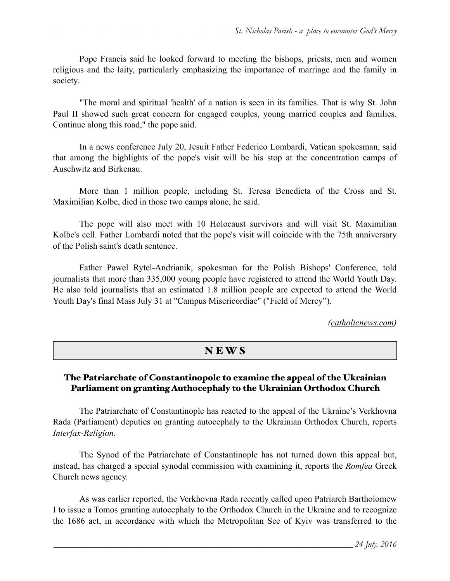Pope Francis said he looked forward to meeting the bishops, priests, men and women religious and the laity, particularly emphasizing the importance of marriage and the family in society.

"The moral and spiritual 'health' of a nation is seen in its families. That is why St. John Paul II showed such great concern for engaged couples, young married couples and families. Continue along this road," the pope said.

In a news conference July 20, Jesuit Father Federico Lombardi, Vatican spokesman, said that among the highlights of the pope's visit will be his stop at the concentration camps of Auschwitz and Birkenau.

More than 1 million people, including St. Teresa Benedicta of the Cross and St. Maximilian Kolbe, died in those two camps alone, he said.

The pope will also meet with 10 Holocaust survivors and will visit St. Maximilian Kolbe's cell. Father Lombardi noted that the pope's visit will coincide with the 75th anniversary of the Polish saint's death sentence.

 Father Pawel Rytel-Andrianik, spokesman for the Polish Bishops' Conference, told journalists that more than 335,000 young people have registered to attend the World Youth Day. He also told journalists that an estimated 1.8 million people are expected to attend the World Youth Day's final Mass July 31 at "Campus Misericordiae" ("Field of Mercy").

*[\(catholicnews.com](http://catholicnews.com))* 

# N E W S

#### The Patriarchate of Constantinopole to examine the appeal of the Ukrainian Parliament on granting Authocephaly to the Ukrainian Orthodox Church

 The Patriarchate of Constantinople has reacted to the appeal of the Ukraine's Verkhovna Rada (Parliament) deputies on granting autocephaly to the Ukrainian Orthodox Church, reports *Interfax-Religion*.

 The Synod of the Patriarchate of Constantinople has not turned down this appeal but, instead, has charged a special synodal commission with examining it, reports the *Romfea* Greek Church news agency.

 As was earlier reported, the Verkhovna Rada recently called upon Patriarch Bartholomew I to issue a Tomos granting [autocephaly](http://www.pravoslavie.ru/english/90320.htm) to the Orthodox Church in the Ukraine and to recognize the 1686 act, in accordance with which the Metropolitan See of Kyiv was transferred to the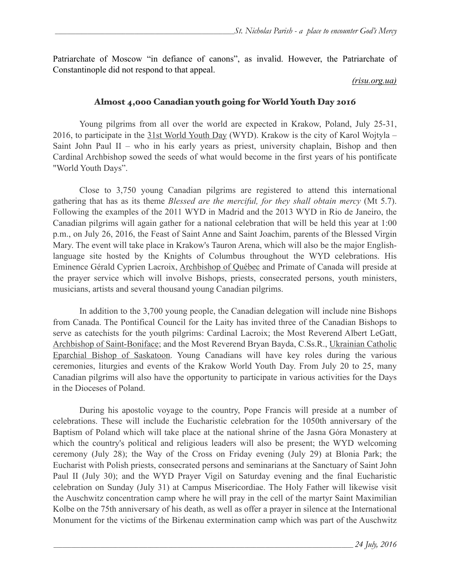Patriarchate of Moscow "in defiance of canons", as invalid. However, the Patriarchate of Constantinople did not respond to that appeal.

#### *(risu.org.ua)*

#### Almost 4,000 Canadian youth going for World Youth Day 2016

 Young pilgrims from all over the world are expected in Krakow, Poland, July 25-31, 2016, to participate in the [31st World Youth Day](http://www.krakow2016.com/en/) (WYD). Krakow is the city of Karol Wojtyla – Saint John Paul II – who in his early years as priest, university chaplain, Bishop and then Cardinal Archbishop sowed the seeds of what would become in the first years of his pontificate "World Youth Days".

 Close to 3,750 young Canadian pilgrims are registered to attend this international gathering that has as its theme *Blessed are the merciful, for they shall obtain mercy* (Mt 5.7). Following the examples of the 2011 WYD in Madrid and the 2013 WYD in Rio de Janeiro, the Canadian pilgrims will again gather for a national celebration that will be held this year at 1:00 p.m., on July 26, 2016, the Feast of Saint Anne and Saint Joachim, parents of the Blessed Virgin Mary. The event will take place in Krakow's Tauron Arena, which will also be the major Englishlanguage site hosted by the Knights of Columbus throughout the WYD celebrations. His Eminence Gérald Cyprien Lacroix, [Archbishop of Québec](http://beta.ecdq.org/) and Primate of Canada will preside at the prayer service which will involve Bishops, priests, consecrated persons, youth ministers, musicians, artists and several thousand young Canadian pilgrims.

 In addition to the 3,700 young people, the Canadian delegation will include nine Bishops from Canada. The Pontifical Council for the Laity has invited three of the Canadian Bishops to serve as catechists for the youth pilgrims: Cardinal Lacroix; the Most Reverend Albert LeGatt, [Archbishop of Saint-Boniface](http://www.archsaintboniface.ca/)[; and the Most Reverend Bryan Bayda, C.Ss.R., Ukrainian Catholic](http://www.skeparchy.org/wordpress/)  Eparchial Bishop of Saskatoon. Young Canadians will have key roles during the various ceremonies, liturgies and events of the Krakow World Youth Day. From July 20 to 25, many Canadian pilgrims will also have the opportunity to participate in various activities for the Days in the Dioceses of Poland.

During his apostolic voyage to the country, Pope Francis will preside at a number of celebrations. These will include the Eucharistic celebration for the 1050th anniversary of the Baptism of Poland which will take place at the national shrine of the Jasna Góra Monastery at which the country's political and religious leaders will also be present; the WYD welcoming ceremony (July 28); the Way of the Cross on Friday evening (July 29) at Blonia Park; the Eucharist with Polish priests, consecrated persons and seminarians at the Sanctuary of Saint John Paul II (July 30); and the WYD Prayer Vigil on Saturday evening and the final Eucharistic celebration on Sunday (July 31) at Campus Misericordiae. The Holy Father will likewise visit the Auschwitz concentration camp where he will pray in the cell of the martyr Saint Maximilian Kolbe on the 75th anniversary of his death, as well as offer a prayer in silence at the International Monument for the victims of the Birkenau extermination camp which was part of the Auschwitz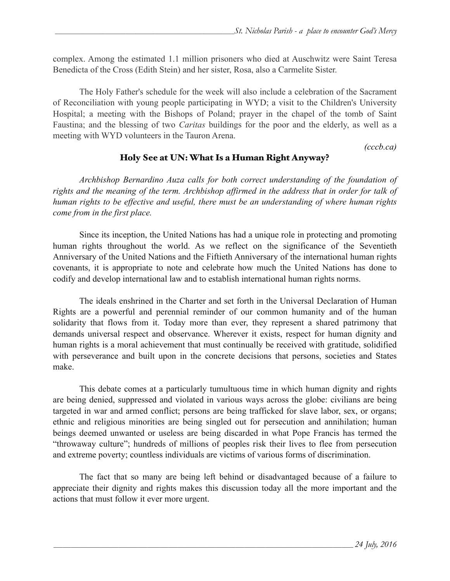complex. Among the estimated 1.1 million prisoners who died at Auschwitz were Saint Teresa Benedicta of the Cross (Edith Stein) and her sister, Rosa, also a Carmelite Sister.

 The Holy Father's schedule for the week will also include a celebration of the Sacrament of Reconciliation with young people participating in WYD; a visit to the Children's University Hospital; a meeting with the Bishops of Poland; prayer in the chapel of the tomb of Saint Faustina; and the blessing of two *Caritas* buildings for the poor and the elderly, as well as a meeting with WYD volunteers in the Tauron Arena.

*(cccb.ca)* 

#### Holy See at UN: What Is a Human Right Anyway?

 *Archbishop Bernardino Auza calls for both correct understanding of the foundation of rights and the meaning of the term. Archbishop affirmed in the address that in order for talk of human rights to be effective and useful, there must be an understanding of where human rights come from in the first place.*

 Since its inception, the United Nations has had a unique role in protecting and promoting human rights throughout the world. As we reflect on the significance of the Seventieth Anniversary of the United Nations and the Fiftieth Anniversary of the international human rights covenants, it is appropriate to note and celebrate how much the United Nations has done to codify and develop international law and to establish international human rights norms.

 The ideals enshrined in the Charter and set forth in the Universal Declaration of Human Rights are a powerful and perennial reminder of our common humanity and of the human solidarity that flows from it. Today more than ever, they represent a shared patrimony that demands universal respect and observance. Wherever it exists, respect for human dignity and human rights is a moral achievement that must continually be received with gratitude, solidified with perseverance and built upon in the concrete decisions that persons, societies and States make.

 This debate comes at a particularly tumultuous time in which human dignity and rights are being denied, suppressed and violated in various ways across the globe: civilians are being targeted in war and armed conflict; persons are being trafficked for slave labor, sex, or organs; ethnic and religious minorities are being singled out for persecution and annihilation; human beings deemed unwanted or useless are being discarded in what Pope Francis has termed the "throwaway culture"; hundreds of millions of peoples risk their lives to flee from persecution and extreme poverty; countless individuals are victims of various forms of discrimination.

 The fact that so many are being left behind or disadvantaged because of a failure to appreciate their dignity and rights makes this discussion today all the more important and the actions that must follow it ever more urgent.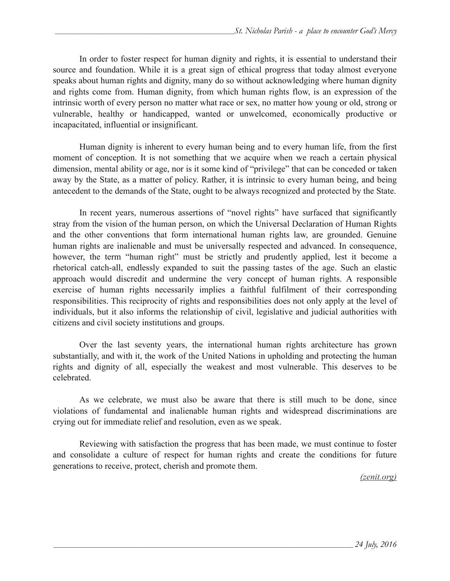In order to foster respect for human dignity and rights, it is essential to understand their source and foundation. While it is a great sign of ethical progress that today almost everyone speaks about human rights and dignity, many do so without acknowledging where human dignity and rights come from. Human dignity, from which human rights flow, is an expression of the intrinsic worth of every person no matter what race or sex, no matter how young or old, strong or vulnerable, healthy or handicapped, wanted or unwelcomed, economically productive or incapacitated, influential or insignificant.

 Human dignity is inherent to every human being and to every human life, from the first moment of conception. It is not something that we acquire when we reach a certain physical dimension, mental ability or age, nor is it some kind of "privilege" that can be conceded or taken away by the State, as a matter of policy. Rather, it is intrinsic to every human being, and being antecedent to the demands of the State, ought to be always recognized and protected by the State.

 In recent years, numerous assertions of "novel rights" have surfaced that significantly stray from the vision of the human person, on which the Universal Declaration of Human Rights and the other conventions that form international human rights law, are grounded. Genuine human rights are inalienable and must be universally respected and advanced. In consequence, however, the term "human right" must be strictly and prudently applied, lest it become a rhetorical catch-all, endlessly expanded to suit the passing tastes of the age. Such an elastic approach would discredit and undermine the very concept of human rights. A responsible exercise of human rights necessarily implies a faithful fulfilment of their corresponding responsibilities. This reciprocity of rights and responsibilities does not only apply at the level of individuals, but it also informs the relationship of civil, legislative and judicial authorities with citizens and civil society institutions and groups.

 Over the last seventy years, the international human rights architecture has grown substantially, and with it, the work of the United Nations in upholding and protecting the human rights and dignity of all, especially the weakest and most vulnerable. This deserves to be celebrated.

 As we celebrate, we must also be aware that there is still much to be done, since violations of fundamental and inalienable human rights and widespread discriminations are crying out for immediate relief and resolution, even as we speak.

Reviewing with satisfaction the progress that has been made, we must continue to foster and consolidate a culture of respect for human rights and create the conditions for future generations to receive, protect, cherish and promote them.

*(zenit.org)*